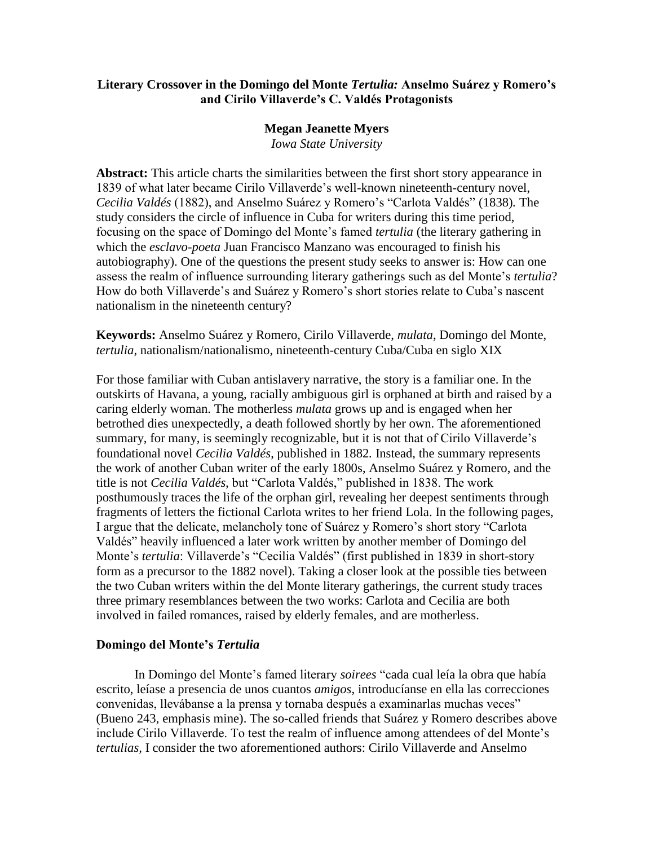## **Literary Crossover in the Domingo del Monte** *Tertulia:* **Anselmo Suárez y Romero's and Cirilo Villaverde's C. Valdés Protagonists**

### **Megan Jeanette Myers**

*Iowa State University*

**Abstract:** This article charts the similarities between the first short story appearance in 1839 of what later became Cirilo Villaverde's well-known nineteenth-century novel, *Cecilia Valdés* (1882), and Anselmo Suárez y Romero's "Carlota Valdés" (1838)*.* The study considers the circle of influence in Cuba for writers during this time period, focusing on the space of Domingo del Monte's famed *tertulia* (the literary gathering in which the *esclavo-poeta* Juan Francisco Manzano was encouraged to finish his autobiography). One of the questions the present study seeks to answer is: How can one assess the realm of influence surrounding literary gatherings such as del Monte's *tertulia*? How do both Villaverde's and Suárez y Romero's short stories relate to Cuba's nascent nationalism in the nineteenth century?

**Keywords:** Anselmo Suárez y Romero, Cirilo Villaverde, *mulata*, Domingo del Monte, *tertulia*, nationalism/nationalismo, nineteenth-century Cuba/Cuba en siglo XIX

For those familiar with Cuban antislavery narrative, the story is a familiar one. In the outskirts of Havana, a young, racially ambiguous girl is orphaned at birth and raised by a caring elderly woman. The motherless *mulata* grows up and is engaged when her betrothed dies unexpectedly, a death followed shortly by her own. The aforementioned summary, for many, is seemingly recognizable, but it is not that of Cirilo Villaverde's foundational novel *Cecilia Valdés*, published in 1882*.* Instead, the summary represents the work of another Cuban writer of the early 1800s, Anselmo Suárez y Romero, and the title is not *Cecilia Valdés,* but "Carlota Valdés," published in 1838. The work posthumously traces the life of the orphan girl, revealing her deepest sentiments through fragments of letters the fictional Carlota writes to her friend Lola. In the following pages, I argue that the delicate, melancholy tone of Suárez y Romero's short story "Carlota Valdés" heavily influenced a later work written by another member of Domingo del Monte's *tertulia*: Villaverde's "Cecilia Valdés" (first published in 1839 in short-story form as a precursor to the 1882 novel). Taking a closer look at the possible ties between the two Cuban writers within the del Monte literary gatherings, the current study traces three primary resemblances between the two works: Carlota and Cecilia are both involved in failed romances, raised by elderly females, and are motherless.

#### **Domingo del Monte's** *Tertulia*

In Domingo del Monte's famed literary *soirees* "cada cual leía la obra que había escrito, leíase a presencia de unos cuantos *amigos*, introducíanse en ella las correcciones convenidas, llevábanse a la prensa y tornaba después a examinarlas muchas veces" (Bueno 243, emphasis mine). The so-called friends that Suárez y Romero describes above include Cirilo Villaverde. To test the realm of influence among attendees of del Monte's *tertulias,* I consider the two aforementioned authors: Cirilo Villaverde and Anselmo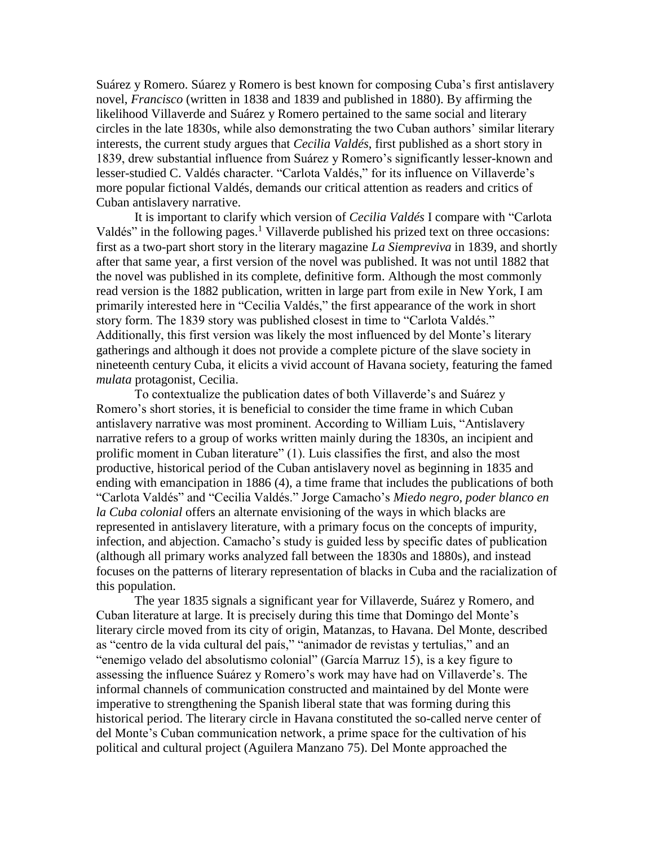Suárez y Romero. Súarez y Romero is best known for composing Cuba's first antislavery novel, *Francisco* (written in 1838 and 1839 and published in 1880). By affirming the likelihood Villaverde and Suárez y Romero pertained to the same social and literary circles in the late 1830s, while also demonstrating the two Cuban authors' similar literary interests, the current study argues that *Cecilia Valdés*, first published as a short story in 1839, drew substantial influence from Suárez y Romero's significantly lesser-known and lesser-studied C. Valdés character. "Carlota Valdés," for its influence on Villaverde's more popular fictional Valdés, demands our critical attention as readers and critics of Cuban antislavery narrative.

It is important to clarify which version of *Cecilia Valdés* I compare with "Carlota Valdés" in the following pages.<sup>1</sup> Villaverde published his prized text on three occasions: first as a two-part short story in the literary magazine *La Siempreviva* in 1839, and shortly after that same year, a first version of the novel was published. It was not until 1882 that the novel was published in its complete, definitive form. Although the most commonly read version is the 1882 publication, written in large part from exile in New York, I am primarily interested here in "Cecilia Valdés," the first appearance of the work in short story form. The 1839 story was published closest in time to "Carlota Valdés." Additionally, this first version was likely the most influenced by del Monte's literary gatherings and although it does not provide a complete picture of the slave society in nineteenth century Cuba, it elicits a vivid account of Havana society, featuring the famed *mulata* protagonist, Cecilia.

To contextualize the publication dates of both Villaverde's and Suárez y Romero's short stories, it is beneficial to consider the time frame in which Cuban antislavery narrative was most prominent. According to William Luis, "Antislavery narrative refers to a group of works written mainly during the 1830s, an incipient and prolific moment in Cuban literature" (1). Luis classifies the first, and also the most productive, historical period of the Cuban antislavery novel as beginning in 1835 and ending with emancipation in 1886 (4), a time frame that includes the publications of both "Carlota Valdés" and "Cecilia Valdés." Jorge Camacho's *Miedo negro, poder blanco en la Cuba colonial* offers an alternate envisioning of the ways in which blacks are represented in antislavery literature, with a primary focus on the concepts of impurity, infection, and abjection. Camacho's study is guided less by specific dates of publication (although all primary works analyzed fall between the 1830s and 1880s), and instead focuses on the patterns of literary representation of blacks in Cuba and the racialization of this population.

The year 1835 signals a significant year for Villaverde, Suárez y Romero, and Cuban literature at large. It is precisely during this time that Domingo del Monte's literary circle moved from its city of origin, Matanzas, to Havana. Del Monte, described as "centro de la vida cultural del país," "animador de revistas y tertulias," and an "enemigo velado del absolutismo colonial" (García Marruz 15), is a key figure to assessing the influence Suárez y Romero's work may have had on Villaverde's. The informal channels of communication constructed and maintained by del Monte were imperative to strengthening the Spanish liberal state that was forming during this historical period. The literary circle in Havana constituted the so-called nerve center of del Monte's Cuban communication network, a prime space for the cultivation of his political and cultural project (Aguilera Manzano 75). Del Monte approached the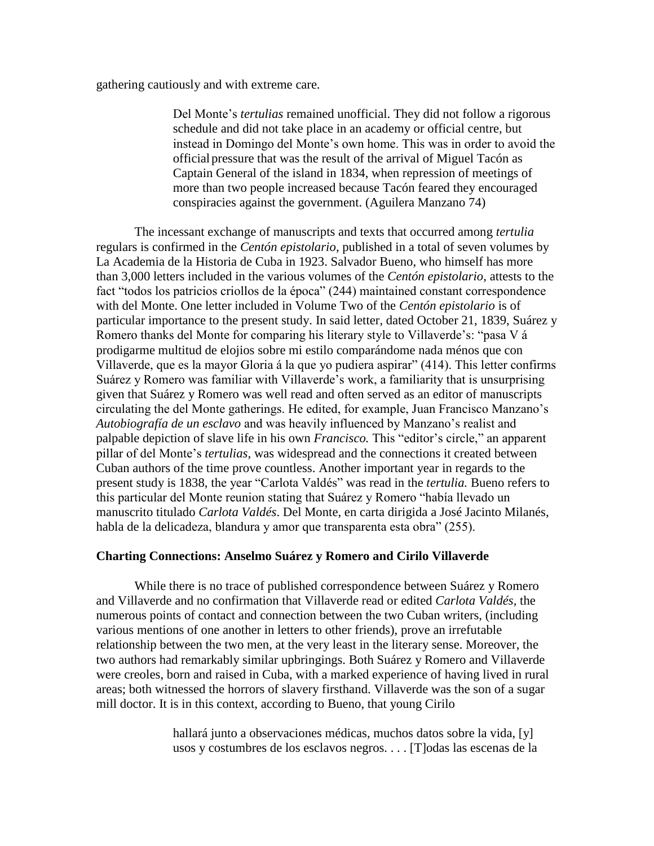gathering cautiously and with extreme care.

Del Monte's *tertulias* remained unofficial. They did not follow a rigorous schedule and did not take place in an academy or official centre, but instead in Domingo del Monte's own home. This was in order to avoid the officialpressure that was the result of the arrival of Miguel Tacón as Captain General of the island in 1834, when repression of meetings of more than two people increased because Tacón feared they encouraged conspiracies against the government. (Aguilera Manzano 74)

The incessant exchange of manuscripts and texts that occurred among *tertulia*  regulars is confirmed in the *Centón epistolario*, published in a total of seven volumes by La Academia de la Historia de Cuba in 1923. Salvador Bueno, who himself has more than 3,000 letters included in the various volumes of the *Centón epistolario*, attests to the fact "todos los patricios criollos de la época" (244) maintained constant correspondence with del Monte. One letter included in Volume Two of the *Centón epistolario* is of particular importance to the present study. In said letter, dated October 21, 1839, Suárez y Romero thanks del Monte for comparing his literary style to Villaverde's: "pasa V á prodigarme multitud de elojios sobre mi estilo comparándome nada ménos que con Villaverde, que es la mayor Gloria á la que yo pudiera aspirar" (414). This letter confirms Suárez y Romero was familiar with Villaverde's work, a familiarity that is unsurprising given that Suárez y Romero was well read and often served as an editor of manuscripts circulating the del Monte gatherings. He edited, for example, Juan Francisco Manzano's *Autobiografía de un esclavo* and was heavily influenced by Manzano's realist and palpable depiction of slave life in his own *Francisco.* This "editor's circle," an apparent pillar of del Monte's *tertulias,* was widespread and the connections it created between Cuban authors of the time prove countless. Another important year in regards to the present study is 1838, the year "Carlota Valdés" was read in the *tertulia.* Bueno refers to this particular del Monte reunion stating that Suárez y Romero "había llevado un manuscrito titulado *Carlota Valdés*. Del Monte, en carta dirigida a José Jacinto Milanés, habla de la delicadeza, blandura y amor que transparenta esta obra" (255).

#### **Charting Connections: Anselmo Suárez y Romero and Cirilo Villaverde**

While there is no trace of published correspondence between Suárez y Romero and Villaverde and no confirmation that Villaverde read or edited *Carlota Valdés,* the numerous points of contact and connection between the two Cuban writers, (including various mentions of one another in letters to other friends), prove an irrefutable relationship between the two men, at the very least in the literary sense. Moreover, the two authors had remarkably similar upbringings. Both Suárez y Romero and Villaverde were creoles, born and raised in Cuba, with a marked experience of having lived in rural areas; both witnessed the horrors of slavery firsthand. Villaverde was the son of a sugar mill doctor. It is in this context, according to Bueno, that young Cirilo

> hallará junto a observaciones médicas, muchos datos sobre la vida, [y] usos y costumbres de los esclavos negros. . . . [T]odas las escenas de la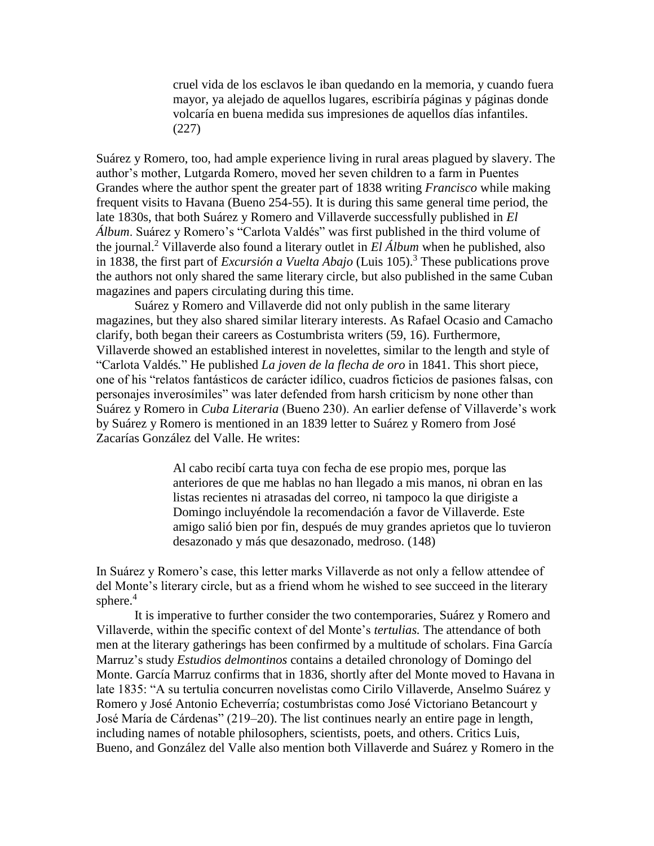cruel vida de los esclavos le iban quedando en la memoria, y cuando fuera mayor, ya alejado de aquellos lugares, escribiría páginas y páginas donde volcaría en buena medida sus impresiones de aquellos días infantiles. (227)

Suárez y Romero, too, had ample experience living in rural areas plagued by slavery. The author's mother, Lutgarda Romero, moved her seven children to a farm in Puentes Grandes where the author spent the greater part of 1838 writing *Francisco* while making frequent visits to Havana (Bueno 254-55). It is during this same general time period, the late 1830s, that both Suárez y Romero and Villaverde successfully published in *El Álbum*. Suárez y Romero's "Carlota Valdés" was first published in the third volume of the journal.<sup>2</sup> Villaverde also found a literary outlet in *El Álbum* when he published, also in 1838, the first part of *Excursión a Vuelta Abajo* (Luis 105).<sup>3</sup> These publications prove the authors not only shared the same literary circle, but also published in the same Cuban magazines and papers circulating during this time.

Suárez y Romero and Villaverde did not only publish in the same literary magazines, but they also shared similar literary interests. As Rafael Ocasio and Camacho clarify, both began their careers as Costumbrista writers (59, 16). Furthermore, Villaverde showed an established interest in novelettes, similar to the length and style of "Carlota Valdés*.*" He published *La joven de la flecha de oro* in 1841. This short piece, one of his "relatos fantásticos de carácter idílico, cuadros ficticios de pasiones falsas, con personajes inverosímiles" was later defended from harsh criticism by none other than Suárez y Romero in *Cuba Literaria* (Bueno 230). An earlier defense of Villaverde's work by Suárez y Romero is mentioned in an 1839 letter to Suárez y Romero from José Zacarías González del Valle. He writes:

> Al cabo recibí carta tuya con fecha de ese propio mes, porque las anteriores de que me hablas no han llegado a mis manos, ni obran en las listas recientes ni atrasadas del correo, ni tampoco la que dirigiste a Domingo incluyéndole la recomendación a favor de Villaverde. Este amigo salió bien por fin, después de muy grandes aprietos que lo tuvieron desazonado y más que desazonado, medroso. (148)

In Suárez y Romero's case, this letter marks Villaverde as not only a fellow attendee of del Monte's literary circle, but as a friend whom he wished to see succeed in the literary sphere.<sup>4</sup>

It is imperative to further consider the two contemporaries, Suárez y Romero and Villaverde, within the specific context of del Monte's *tertulias.* The attendance of both men at the literary gatherings has been confirmed by a multitude of scholars. Fina García Marruz's study *Estudios delmontinos* contains a detailed chronology of Domingo del Monte. García Marruz confirms that in 1836, shortly after del Monte moved to Havana in late 1835: "A su tertulia concurren novelistas como Cirilo Villaverde, Anselmo Suárez y Romero y José Antonio Echeverría; costumbristas como José Victoriano Betancourt y José María de Cárdenas" (219–20). The list continues nearly an entire page in length, including names of notable philosophers, scientists, poets, and others. Critics Luis, Bueno, and González del Valle also mention both Villaverde and Suárez y Romero in the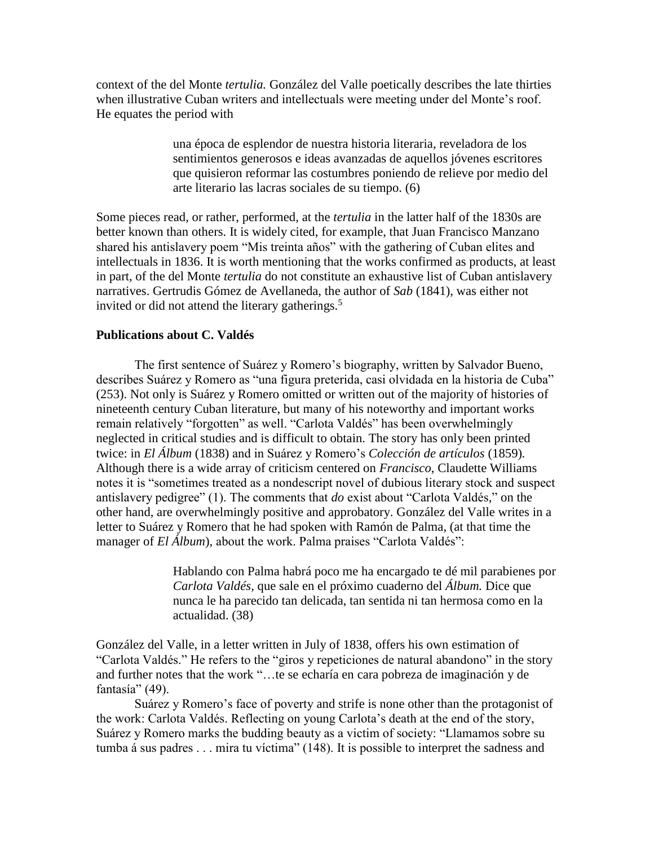context of the del Monte *tertulia.* González del Valle poetically describes the late thirties when illustrative Cuban writers and intellectuals were meeting under del Monte's roof. He equates the period with

> una época de esplendor de nuestra historia literaria, reveladora de los sentimientos generosos e ideas avanzadas de aquellos jóvenes escritores que quisieron reformar las costumbres poniendo de relieve por medio del arte literario las lacras sociales de su tiempo. (6)

Some pieces read, or rather, performed, at the *tertulia* in the latter half of the 1830s are better known than others. It is widely cited, for example, that Juan Francisco Manzano shared his antislavery poem "Mis treinta años" with the gathering of Cuban elites and intellectuals in 1836. It is worth mentioning that the works confirmed as products, at least in part, of the del Monte *tertulia* do not constitute an exhaustive list of Cuban antislavery narratives. Gertrudis Gómez de Avellaneda, the author of *Sab* (1841), was either not invited or did not attend the literary gatherings.<sup>5</sup>

#### **Publications about C. Valdés**

The first sentence of Suárez y Romero's biography, written by Salvador Bueno, describes Suárez y Romero as "una figura preterida, casi olvidada en la historia de Cuba" (253). Not only is Suárez y Romero omitted or written out of the majority of histories of nineteenth century Cuban literature, but many of his noteworthy and important works remain relatively "forgotten" as well. "Carlota Valdés" has been overwhelmingly neglected in critical studies and is difficult to obtain. The story has only been printed twice: in *El Álbum* (1838) and in Suárez y Romero's *Colección de artículos* (1859)*.*  Although there is a wide array of criticism centered on *Francisco*, Claudette Williams notes it is "sometimes treated as a nondescript novel of dubious literary stock and suspect antislavery pedigree" (1). The comments that *do* exist about "Carlota Valdés*,*" on the other hand, are overwhelmingly positive and approbatory. González del Valle writes in a letter to Suárez y Romero that he had spoken with Ramón de Palma, (at that time the manager of *El Álbum*), about the work. Palma praises "Carlota Valdés":

> Hablando con Palma habrá poco me ha encargado te dé mil parabienes por *Carlota Valdés,* que sale en el próximo cuaderno del *Álbum.* Dice que nunca le ha parecido tan delicada, tan sentida ni tan hermosa como en la actualidad. (38)

González del Valle, in a letter written in July of 1838, offers his own estimation of "Carlota Valdés." He refers to the "giros y repeticiones de natural abandono" in the story and further notes that the work "…te se echaría en cara pobreza de imaginación y de fantasía" (49).

Suárez y Romero's face of poverty and strife is none other than the protagonist of the work: Carlota Valdés. Reflecting on young Carlota's death at the end of the story, Suárez y Romero marks the budding beauty as a victim of society: "Llamamos sobre su tumba á sus padres . . . mira tu víctima" (148). It is possible to interpret the sadness and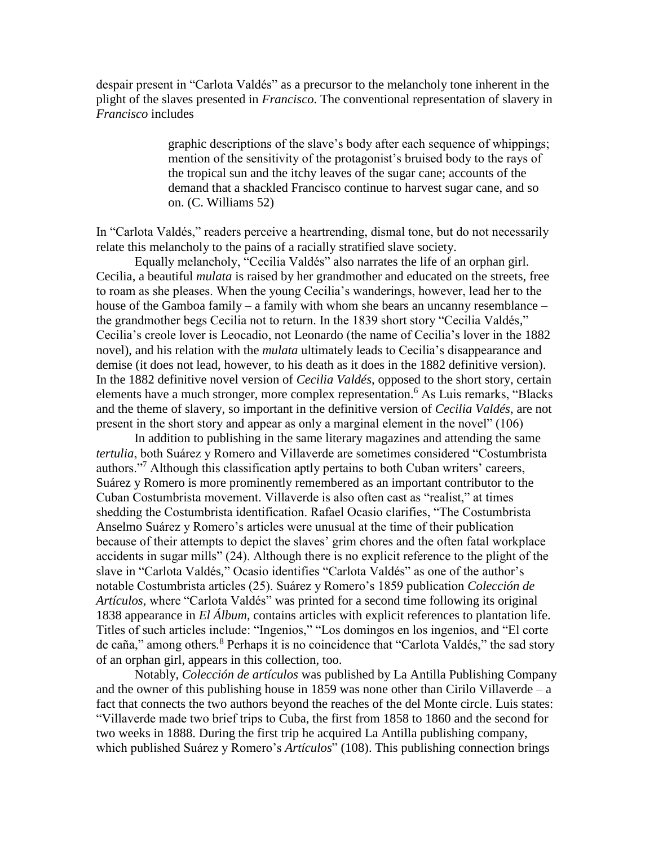despair present in "Carlota Valdés" as a precursor to the melancholy tone inherent in the plight of the slaves presented in *Francisco*. The conventional representation of slavery in *Francisco* includes

> graphic descriptions of the slave's body after each sequence of whippings; mention of the sensitivity of the protagonist's bruised body to the rays of the tropical sun and the itchy leaves of the sugar cane; accounts of the demand that a shackled Francisco continue to harvest sugar cane, and so on. (C. Williams 52)

In "Carlota Valdés," readers perceive a heartrending, dismal tone, but do not necessarily relate this melancholy to the pains of a racially stratified slave society.

Equally melancholy, "Cecilia Valdés" also narrates the life of an orphan girl. Cecilia, a beautiful *mulata* is raised by her grandmother and educated on the streets, free to roam as she pleases. When the young Cecilia's wanderings, however, lead her to the house of the Gamboa family – a family with whom she bears an uncanny resemblance – the grandmother begs Cecilia not to return. In the 1839 short story "Cecilia Valdés*,*" Cecilia's creole lover is Leocadio, not Leonardo (the name of Cecilia's lover in the 1882 novel), and his relation with the *mulata* ultimately leads to Cecilia's disappearance and demise (it does not lead, however, to his death as it does in the 1882 definitive version). In the 1882 definitive novel version of *Cecilia Valdés*, opposed to the short story, certain elements have a much stronger, more complex representation.<sup>6</sup> As Luis remarks, "Blacks" and the theme of slavery, so important in the definitive version of *Cecilia Valdés*, are not present in the short story and appear as only a marginal element in the novel" (106)

In addition to publishing in the same literary magazines and attending the same *tertulia*, both Suárez y Romero and Villaverde are sometimes considered "Costumbrista authors."<sup>7</sup> Although this classification aptly pertains to both Cuban writers' careers, Suárez y Romero is more prominently remembered as an important contributor to the Cuban Costumbrista movement. Villaverde is also often cast as "realist," at times shedding the Costumbrista identification. Rafael Ocasio clarifies, "The Costumbrista Anselmo Suárez y Romero's articles were unusual at the time of their publication because of their attempts to depict the slaves' grim chores and the often fatal workplace accidents in sugar mills" (24). Although there is no explicit reference to the plight of the slave in "Carlota Valdés*,*" Ocasio identifies "Carlota Valdés" as one of the author's notable Costumbrista articles (25). Suárez y Romero's 1859 publication *Colección de Artículos,* where "Carlota Valdés" was printed for a second time following its original 1838 appearance in *El Álbum*, contains articles with explicit references to plantation life. Titles of such articles include: "Ingenios," "Los domingos en los ingenios, and "El corte de caña," among others*.* <sup>8</sup> Perhaps it is no coincidence that "Carlota Valdés," the sad story of an orphan girl, appears in this collection, too.

Notably, *Colección de artículos* was published by La Antilla Publishing Company and the owner of this publishing house in 1859 was none other than Cirilo Villaverde – a fact that connects the two authors beyond the reaches of the del Monte circle. Luis states: "Villaverde made two brief trips to Cuba, the first from 1858 to 1860 and the second for two weeks in 1888. During the first trip he acquired La Antilla publishing company, which published Suárez y Romero's *Artículos*" (108). This publishing connection brings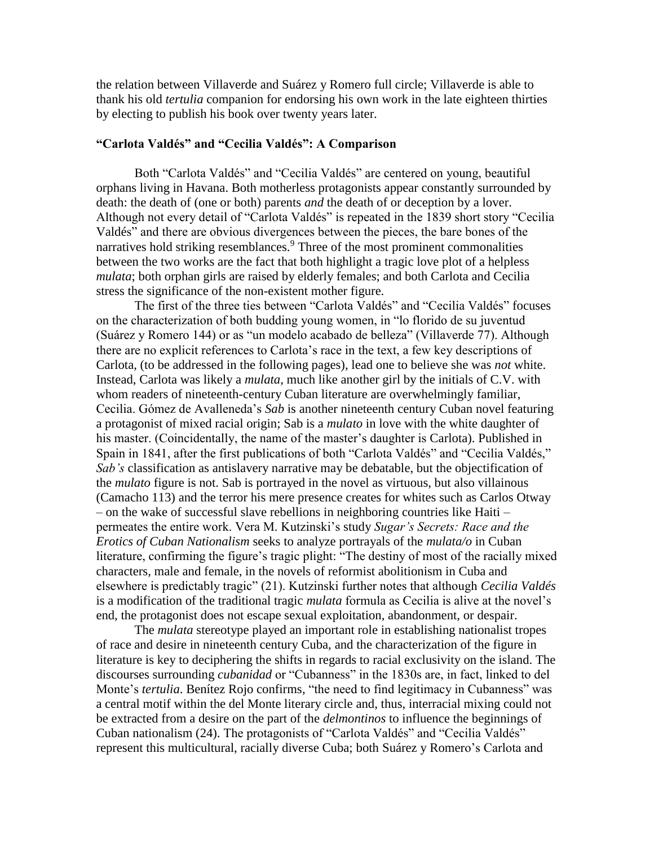the relation between Villaverde and Suárez y Romero full circle; Villaverde is able to thank his old *tertulia* companion for endorsing his own work in the late eighteen thirties by electing to publish his book over twenty years later.

#### **"Carlota Valdés" and "Cecilia Valdés": A Comparison**

Both "Carlota Valdés" and "Cecilia Valdés" are centered on young, beautiful orphans living in Havana. Both motherless protagonists appear constantly surrounded by death: the death of (one or both) parents *and* the death of or deception by a lover. Although not every detail of "Carlota Valdés" is repeated in the 1839 short story "Cecilia Valdés" and there are obvious divergences between the pieces, the bare bones of the narratives hold striking resemblances.<sup>9</sup> Three of the most prominent commonalities between the two works are the fact that both highlight a tragic love plot of a helpless *mulata*; both orphan girls are raised by elderly females; and both Carlota and Cecilia stress the significance of the non-existent mother figure.

The first of the three ties between "Carlota Valdés" and "Cecilia Valdés" focuses on the characterization of both budding young women, in "lo florido de su juventud (Suárez y Romero 144) or as "un modelo acabado de belleza" (Villaverde 77). Although there are no explicit references to Carlota's race in the text, a few key descriptions of Carlota, (to be addressed in the following pages), lead one to believe she was *not* white. Instead, Carlota was likely a *mulata*, much like another girl by the initials of C.V. with whom readers of nineteenth-century Cuban literature are overwhelmingly familiar, Cecilia. Gómez de Avalleneda's *Sab* is another nineteenth century Cuban novel featuring a protagonist of mixed racial origin; Sab is a *mulato* in love with the white daughter of his master. (Coincidentally, the name of the master's daughter is Carlota). Published in Spain in 1841, after the first publications of both "Carlota Valdés" and "Cecilia Valdés," *Sab's* classification as antislavery narrative may be debatable, but the objectification of the *mulato* figure is not. Sab is portrayed in the novel as virtuous, but also villainous (Camacho 113) and the terror his mere presence creates for whites such as Carlos Otway – on the wake of successful slave rebellions in neighboring countries like Haiti – permeates the entire work. Vera M. Kutzinski's study *Sugar's Secrets: Race and the Erotics of Cuban Nationalism* seeks to analyze portrayals of the *mulata/o* in Cuban literature, confirming the figure's tragic plight: "The destiny of most of the racially mixed characters, male and female, in the novels of reformist abolitionism in Cuba and elsewhere is predictably tragic" (21). Kutzinski further notes that although *Cecilia Valdés*  is a modification of the traditional tragic *mulata* formula as Cecilia is alive at the novel's end, the protagonist does not escape sexual exploitation, abandonment, or despair.

The *mulata* stereotype played an important role in establishing nationalist tropes of race and desire in nineteenth century Cuba, and the characterization of the figure in literature is key to deciphering the shifts in regards to racial exclusivity on the island. The discourses surrounding *cubanidad* or "Cubanness" in the 1830s are, in fact, linked to del Monte's *tertulia*. Benítez Rojo confirms, "the need to find legitimacy in Cubanness" was a central motif within the del Monte literary circle and, thus, interracial mixing could not be extracted from a desire on the part of the *delmontinos* to influence the beginnings of Cuban nationalism (24). The protagonists of "Carlota Valdés" and "Cecilia Valdés" represent this multicultural, racially diverse Cuba; both Suárez y Romero's Carlota and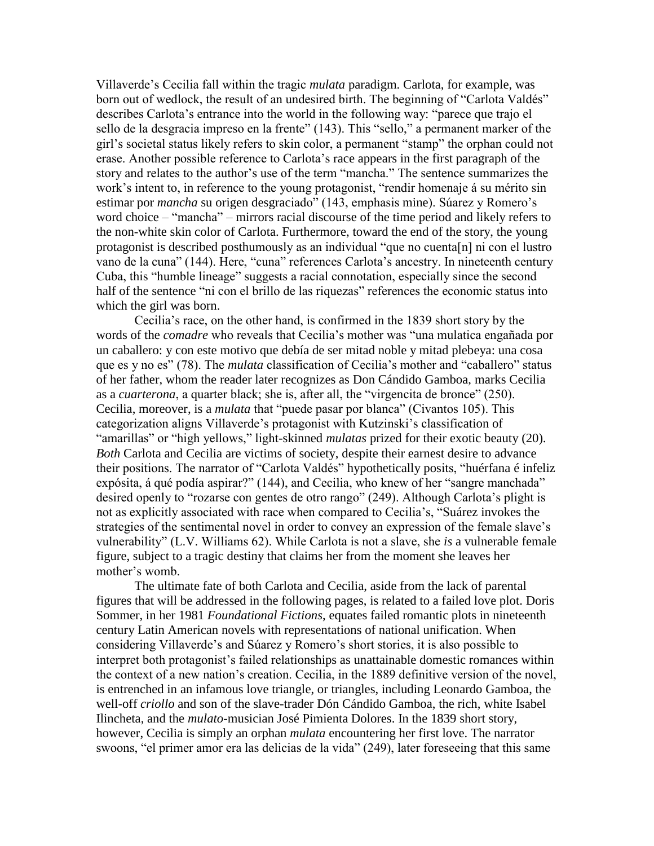Villaverde's Cecilia fall within the tragic *mulata* paradigm. Carlota, for example, was born out of wedlock, the result of an undesired birth. The beginning of "Carlota Valdés" describes Carlota's entrance into the world in the following way: "parece que trajo el sello de la desgracia impreso en la frente" (143). This "sello," a permanent marker of the girl's societal status likely refers to skin color, a permanent "stamp" the orphan could not erase. Another possible reference to Carlota's race appears in the first paragraph of the story and relates to the author's use of the term "mancha." The sentence summarizes the work's intent to, in reference to the young protagonist, "rendir homenaje á su mérito sin estimar por *mancha* su origen desgraciado" (143, emphasis mine). Súarez y Romero's word choice – "mancha" – mirrors racial discourse of the time period and likely refers to the non-white skin color of Carlota. Furthermore, toward the end of the story, the young protagonist is described posthumously as an individual "que no cuenta[n] ni con el lustro vano de la cuna" (144). Here, "cuna" references Carlota's ancestry. In nineteenth century Cuba, this "humble lineage" suggests a racial connotation, especially since the second half of the sentence "ni con el brillo de las riquezas" references the economic status into which the girl was born.

Cecilia's race, on the other hand, is confirmed in the 1839 short story by the words of the *comadre* who reveals that Cecilia's mother was "una mulatica engañada por un caballero: y con este motivo que debía de ser mitad noble y mitad plebeya: una cosa que es y no es" (78). The *mulata* classification of Cecilia's mother and "caballero" status of her father, whom the reader later recognizes as Don Cándido Gamboa, marks Cecilia as a *cuarterona*, a quarter black; she is, after all, the "virgencita de bronce" (250). Cecilia, moreover, is a *mulata* that "puede pasar por blanca" (Civantos 105). This categorization aligns Villaverde's protagonist with Kutzinski's classification of "amarillas" or "high yellows," light-skinned *mulatas* prized for their exotic beauty (20). *Both* Carlota and Cecilia are victims of society, despite their earnest desire to advance their positions. The narrator of "Carlota Valdés" hypothetically posits, "huérfana é infeliz expósita, á qué podía aspirar?" (144), and Cecilia, who knew of her "sangre manchada" desired openly to "rozarse con gentes de otro rango" (249). Although Carlota's plight is not as explicitly associated with race when compared to Cecilia's, "Suárez invokes the strategies of the sentimental novel in order to convey an expression of the female slave's vulnerability" (L.V. Williams 62). While Carlota is not a slave, she *is* a vulnerable female figure, subject to a tragic destiny that claims her from the moment she leaves her mother's womb.

The ultimate fate of both Carlota and Cecilia, aside from the lack of parental figures that will be addressed in the following pages, is related to a failed love plot. Doris Sommer, in her 1981 *Foundational Fictions*, equates failed romantic plots in nineteenth century Latin American novels with representations of national unification. When considering Villaverde's and Súarez y Romero's short stories, it is also possible to interpret both protagonist's failed relationships as unattainable domestic romances within the context of a new nation's creation. Cecilia, in the 1889 definitive version of the novel, is entrenched in an infamous love triangle, or triangles, including Leonardo Gamboa, the well-off *criollo* and son of the slave-trader Dón Cándido Gamboa, the rich, white Isabel Ilincheta, and the *mulato*-musician José Pimienta Dolores. In the 1839 short story, however, Cecilia is simply an orphan *mulata* encountering her first love. The narrator swoons, "el primer amor era las delicias de la vida" (249), later foreseeing that this same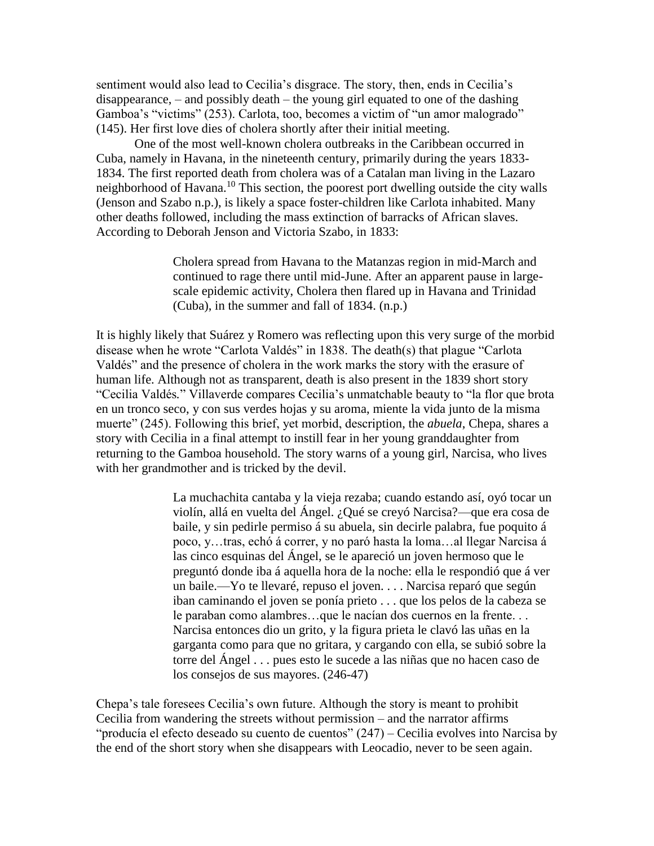sentiment would also lead to Cecilia's disgrace. The story, then, ends in Cecilia's disappearance, – and possibly death – the young girl equated to one of the dashing Gamboa's "victims" (253). Carlota, too, becomes a victim of "un amor malogrado" (145). Her first love dies of cholera shortly after their initial meeting.

One of the most well-known cholera outbreaks in the Caribbean occurred in Cuba, namely in Havana, in the nineteenth century, primarily during the years 1833- 1834. The first reported death from cholera was of a Catalan man living in the Lazaro neighborhood of Havana.<sup>10</sup> This section, the poorest port dwelling outside the city walls (Jenson and Szabo n.p.), is likely a space foster-children like Carlota inhabited. Many other deaths followed, including the mass extinction of barracks of African slaves. According to Deborah Jenson and Victoria Szabo, in 1833:

> Cholera spread from Havana to the Matanzas region in mid-March and continued to rage there until mid-June. After an apparent pause in largescale epidemic activity, Cholera then flared up in Havana and Trinidad (Cuba), in the summer and fall of 1834. (n.p.)

It is highly likely that Suárez y Romero was reflecting upon this very surge of the morbid disease when he wrote "Carlota Valdés" in 1838. The death(s) that plague "Carlota Valdés" and the presence of cholera in the work marks the story with the erasure of human life. Although not as transparent, death is also present in the 1839 short story "Cecilia Valdés*.*" Villaverde compares Cecilia's unmatchable beauty to "la flor que brota en un tronco seco, y con sus verdes hojas y su aroma, miente la vida junto de la misma muerte" (245). Following this brief, yet morbid, description, the *abuela*, Chepa, shares a story with Cecilia in a final attempt to instill fear in her young granddaughter from returning to the Gamboa household. The story warns of a young girl, Narcisa, who lives with her grandmother and is tricked by the devil.

> La muchachita cantaba y la vieja rezaba; cuando estando así, oyó tocar un violín, allá en vuelta del Ángel. ¿Qué se creyó Narcisa?—que era cosa de baile, y sin pedirle permiso á su abuela, sin decirle palabra, fue poquito á poco, y…tras, echó á correr, y no paró hasta la loma…al llegar Narcisa á las cinco esquinas del Ángel, se le apareció un joven hermoso que le preguntó donde iba á aquella hora de la noche: ella le respondió que á ver un baile.—Yo te llevaré, repuso el joven. . . . Narcisa reparó que según iban caminando el joven se ponía prieto . . . que los pelos de la cabeza se le paraban como alambres…que le nacían dos cuernos en la frente. . . Narcisa entonces dio un grito, y la figura prieta le clavó las uñas en la garganta como para que no gritara, y cargando con ella, se subió sobre la torre del Ángel . . . pues esto le sucede a las niñas que no hacen caso de los consejos de sus mayores. (246-47)

Chepa's tale foresees Cecilia's own future. Although the story is meant to prohibit Cecilia from wandering the streets without permission – and the narrator affirms "producía el efecto deseado su cuento de cuentos" (247) – Cecilia evolves into Narcisa by the end of the short story when she disappears with Leocadio, never to be seen again.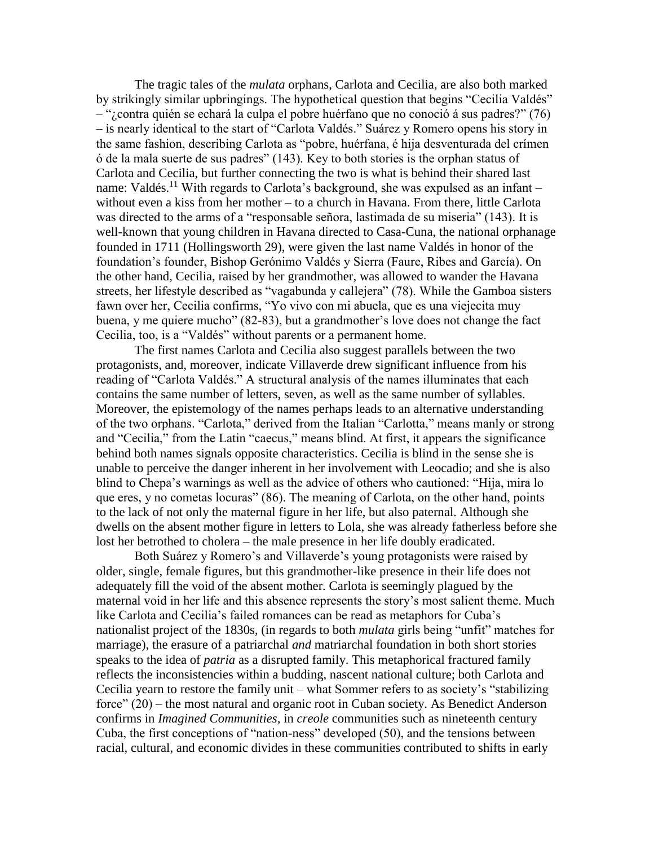The tragic tales of the *mulata* orphans, Carlota and Cecilia, are also both marked by strikingly similar upbringings. The hypothetical question that begins "Cecilia Valdés" – "¿contra quién se echará la culpa el pobre huérfano que no conoció á sus padres?" (76) – is nearly identical to the start of "Carlota Valdés." Suárez y Romero opens his story in the same fashion, describing Carlota as "pobre, huérfana, é hija desventurada del crímen ó de la mala suerte de sus padres" (143). Key to both stories is the orphan status of Carlota and Cecilia, but further connecting the two is what is behind their shared last name: Valdés.<sup>11</sup> With regards to Carlota's background, she was expulsed as an infant – without even a kiss from her mother – to a church in Havana. From there, little Carlota was directed to the arms of a "responsable señora, lastimada de su miseria" (143). It is well-known that young children in Havana directed to Casa-Cuna, the national orphanage founded in 1711 (Hollingsworth 29), were given the last name Valdés in honor of the foundation's founder, Bishop Gerónimo Valdés y Sierra (Faure, Ribes and García). On the other hand, Cecilia, raised by her grandmother, was allowed to wander the Havana streets, her lifestyle described as "vagabunda y callejera" (78). While the Gamboa sisters fawn over her, Cecilia confirms, "Yo vivo con mi abuela, que es una viejecita muy buena, y me quiere mucho" (82-83), but a grandmother's love does not change the fact Cecilia, too, is a "Valdés" without parents or a permanent home.

The first names Carlota and Cecilia also suggest parallels between the two protagonists, and, moreover, indicate Villaverde drew significant influence from his reading of "Carlota Valdés." A structural analysis of the names illuminates that each contains the same number of letters, seven, as well as the same number of syllables. Moreover, the epistemology of the names perhaps leads to an alternative understanding of the two orphans. "Carlota," derived from the Italian "Carlotta," means manly or strong and "Cecilia," from the Latin "caecus," means blind. At first, it appears the significance behind both names signals opposite characteristics. Cecilia is blind in the sense she is unable to perceive the danger inherent in her involvement with Leocadio; and she is also blind to Chepa's warnings as well as the advice of others who cautioned: "Hija, mira lo que eres, y no cometas locuras" (86). The meaning of Carlota, on the other hand, points to the lack of not only the maternal figure in her life, but also paternal. Although she dwells on the absent mother figure in letters to Lola, she was already fatherless before she lost her betrothed to cholera – the male presence in her life doubly eradicated.

Both Suárez y Romero's and Villaverde's young protagonists were raised by older, single, female figures, but this grandmother-like presence in their life does not adequately fill the void of the absent mother. Carlota is seemingly plagued by the maternal void in her life and this absence represents the story's most salient theme. Much like Carlota and Cecilia's failed romances can be read as metaphors for Cuba's nationalist project of the 1830s, (in regards to both *mulata* girls being "unfit" matches for marriage), the erasure of a patriarchal *and* matriarchal foundation in both short stories speaks to the idea of *patria* as a disrupted family. This metaphorical fractured family reflects the inconsistencies within a budding, nascent national culture; both Carlota and Cecilia yearn to restore the family unit – what Sommer refers to as society's "stabilizing force" (20) – the most natural and organic root in Cuban society. As Benedict Anderson confirms in *Imagined Communities,* in *creole* communities such as nineteenth century Cuba, the first conceptions of "nation-ness" developed (50), and the tensions between racial, cultural, and economic divides in these communities contributed to shifts in early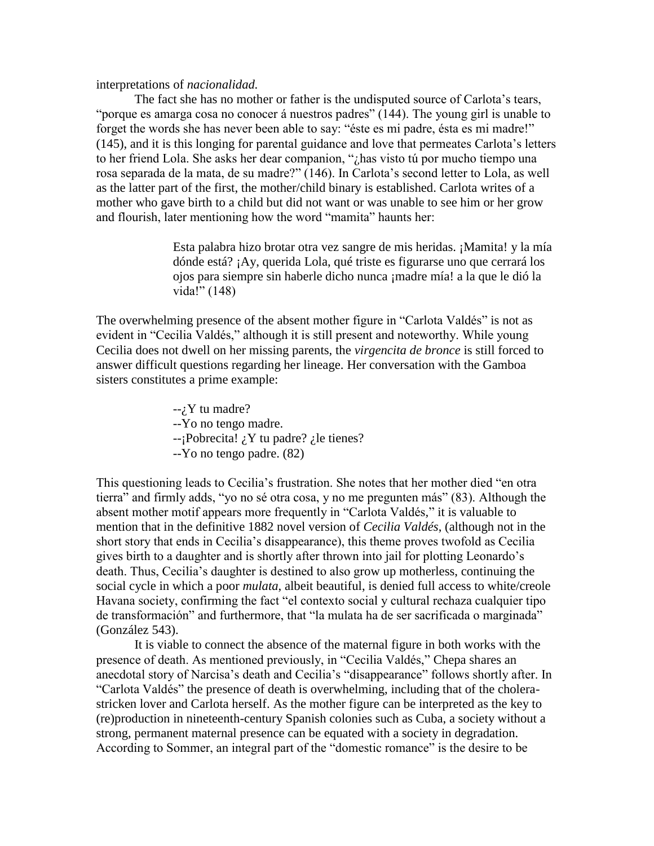interpretations of *nacionalidad.*

The fact she has no mother or father is the undisputed source of Carlota's tears, "porque es amarga cosa no conocer á nuestros padres" (144). The young girl is unable to forget the words she has never been able to say: "éste es mi padre, ésta es mi madre!" (145), and it is this longing for parental guidance and love that permeates Carlota's letters to her friend Lola. She asks her dear companion, "¿has visto tú por mucho tiempo una rosa separada de la mata, de su madre?" (146). In Carlota's second letter to Lola, as well as the latter part of the first, the mother/child binary is established. Carlota writes of a mother who gave birth to a child but did not want or was unable to see him or her grow and flourish, later mentioning how the word "mamita" haunts her:

> Esta palabra hizo brotar otra vez sangre de mis heridas. ¡Mamita! y la mía dónde está? ¡Ay, querida Lola, qué triste es figurarse uno que cerrará los ojos para siempre sin haberle dicho nunca ¡madre mía! a la que le dió la vida!" (148)

The overwhelming presence of the absent mother figure in "Carlota Valdés" is not as evident in "Cecilia Valdés," although it is still present and noteworthy. While young Cecilia does not dwell on her missing parents, the *virgencita de bronce* is still forced to answer difficult questions regarding her lineage. Her conversation with the Gamboa sisters constitutes a prime example:

> $-i$ , Y tu madre? --Yo no tengo madre.  $-iPobrecita!$  *i*  $Y$  tu padre? *i* le tienes? --Yo no tengo padre. (82)

This questioning leads to Cecilia's frustration. She notes that her mother died "en otra tierra" and firmly adds, "yo no sé otra cosa, y no me pregunten más" (83). Although the absent mother motif appears more frequently in "Carlota Valdés*,*" it is valuable to mention that in the definitive 1882 novel version of *Cecilia Valdés*, (although not in the short story that ends in Cecilia's disappearance), this theme proves twofold as Cecilia gives birth to a daughter and is shortly after thrown into jail for plotting Leonardo's death. Thus, Cecilia's daughter is destined to also grow up motherless, continuing the social cycle in which a poor *mulata*, albeit beautiful, is denied full access to white/creole Havana society, confirming the fact "el contexto social y cultural rechaza cualquier tipo de transformación" and furthermore, that "la mulata ha de ser sacrificada o marginada" (González 543).

It is viable to connect the absence of the maternal figure in both works with the presence of death. As mentioned previously, in "Cecilia Valdés," Chepa shares an anecdotal story of Narcisa's death and Cecilia's "disappearance" follows shortly after. In "Carlota Valdés" the presence of death is overwhelming, including that of the cholerastricken lover and Carlota herself. As the mother figure can be interpreted as the key to (re)production in nineteenth-century Spanish colonies such as Cuba, a society without a strong, permanent maternal presence can be equated with a society in degradation. According to Sommer, an integral part of the "domestic romance" is the desire to be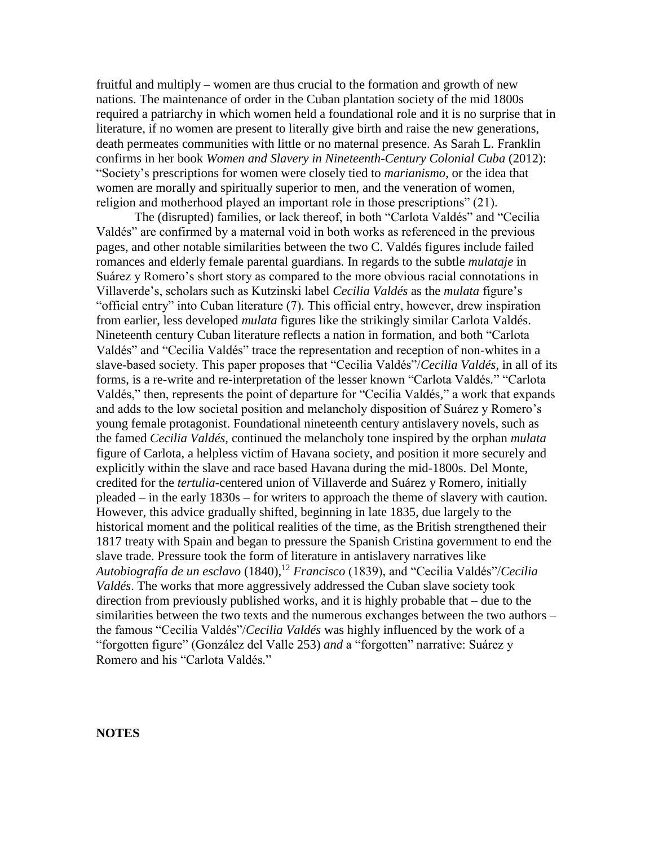fruitful and multiply – women are thus crucial to the formation and growth of new nations. The maintenance of order in the Cuban plantation society of the mid 1800s required a patriarchy in which women held a foundational role and it is no surprise that in literature, if no women are present to literally give birth and raise the new generations, death permeates communities with little or no maternal presence. As Sarah L. Franklin confirms in her book *Women and Slavery in Nineteenth-Century Colonial Cuba* (2012): "Society's prescriptions for women were closely tied to *marianismo*, or the idea that women are morally and spiritually superior to men, and the veneration of women, religion and motherhood played an important role in those prescriptions" (21).

The (disrupted) families, or lack thereof, in both "Carlota Valdés" and "Cecilia Valdés" are confirmed by a maternal void in both works as referenced in the previous pages, and other notable similarities between the two C. Valdés figures include failed romances and elderly female parental guardians*.* In regards to the subtle *mulataje* in Suárez y Romero's short story as compared to the more obvious racial connotations in Villaverde's, scholars such as Kutzinski label *Cecilia Valdés* as the *mulata* figure's "official entry" into Cuban literature (7). This official entry, however, drew inspiration from earlier, less developed *mulata* figures like the strikingly similar Carlota Valdés. Nineteenth century Cuban literature reflects a nation in formation, and both "Carlota Valdés" and "Cecilia Valdés" trace the representation and reception of non-whites in a slave-based society. This paper proposes that "Cecilia Valdés"/*Cecilia Valdés*, in all of its forms, is a re-write and re-interpretation of the lesser known "Carlota Valdés*.*" "Carlota Valdés," then, represents the point of departure for "Cecilia Valdés*,*" a work that expands and adds to the low societal position and melancholy disposition of Suárez y Romero's young female protagonist. Foundational nineteenth century antislavery novels, such as the famed *Cecilia Valdés,* continued the melancholy tone inspired by the orphan *mulata* figure of Carlota, a helpless victim of Havana society, and position it more securely and explicitly within the slave and race based Havana during the mid-1800s. Del Monte, credited for the *tertulia-*centered union of Villaverde and Suárez y Romero, initially pleaded – in the early 1830s – for writers to approach the theme of slavery with caution. However, this advice gradually shifted, beginning in late 1835, due largely to the historical moment and the political realities of the time, as the British strengthened their 1817 treaty with Spain and began to pressure the Spanish Cristina government to end the slave trade. Pressure took the form of literature in antislavery narratives like *Autobiografía de un esclavo* (1840),<sup>12</sup> *Francisco* (1839), and "Cecilia Valdés"/*Cecilia Valdés*. The works that more aggressively addressed the Cuban slave society took direction from previously published works, and it is highly probable that – due to the similarities between the two texts and the numerous exchanges between the two authors – the famous "Cecilia Valdés"/*Cecilia Valdés* was highly influenced by the work of a "forgotten figure" (González del Valle 253) *and* a "forgotten" narrative: Suárez y Romero and his "Carlota Valdés*.*"

**NOTES**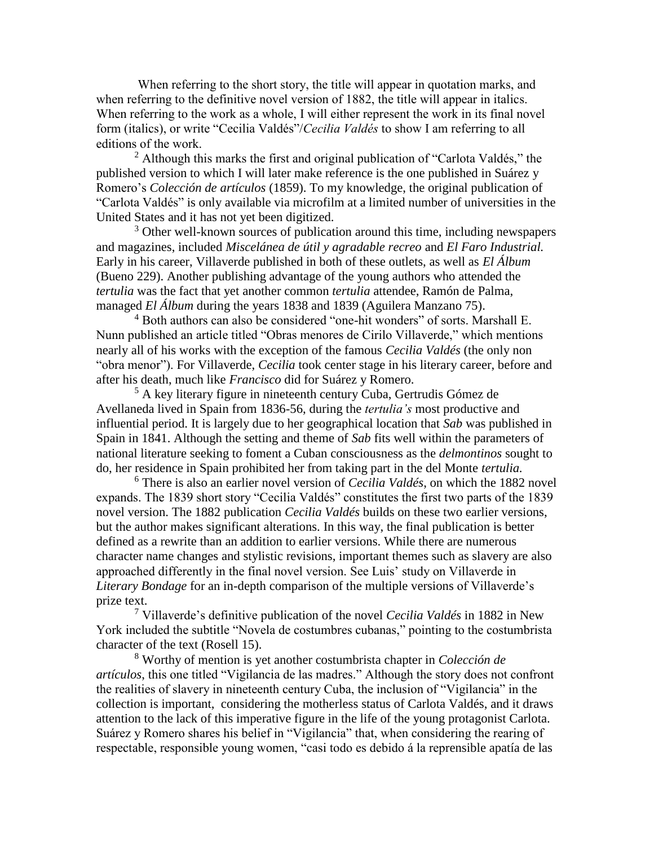When referring to the short story, the title will appear in quotation marks, and when referring to the definitive novel version of 1882, the title will appear in italics. When referring to the work as a whole, I will either represent the work in its final novel form (italics), or write "Cecilia Valdés"/*Cecilia Valdés* to show I am referring to all editions of the work.

 $2$  Although this marks the first and original publication of "Carlota Valdés," the published version to which I will later make reference is the one published in Suárez y Romero's *Colección de artículos* (1859). To my knowledge, the original publication of "Carlota Valdés" is only available via microfilm at a limited number of universities in the United States and it has not yet been digitized.

<sup>3</sup> Other well-known sources of publication around this time, including newspapers and magazines, included *Miscelánea de útil y agradable recreo* and *El Faro Industrial.*  Early in his career, Villaverde published in both of these outlets, as well as *El Álbum*  (Bueno 229). Another publishing advantage of the young authors who attended the *tertulia* was the fact that yet another common *tertulia* attendee, Ramón de Palma, managed *El Álbum* during the years 1838 and 1839 (Aguilera Manzano 75).

<sup>4</sup> Both authors can also be considered "one-hit wonders" of sorts. Marshall E. Nunn published an article titled "Obras menores de Cirilo Villaverde," which mentions nearly all of his works with the exception of the famous *Cecilia Valdés* (the only non "obra menor"). For Villaverde, *Cecilia* took center stage in his literary career, before and after his death, much like *Francisco* did for Suárez y Romero.

 $5$  A key literary figure in nineteenth century Cuba, Gertrudis Gómez de Avellaneda lived in Spain from 1836-56, during the *tertulia's* most productive and influential period. It is largely due to her geographical location that *Sab* was published in Spain in 1841. Although the setting and theme of *Sab* fits well within the parameters of national literature seeking to foment a Cuban consciousness as the *delmontinos* sought to do, her residence in Spain prohibited her from taking part in the del Monte *tertulia.*

<sup>6</sup> There is also an earlier novel version of *Cecilia Valdés*, on which the 1882 novel expands. The 1839 short story "Cecilia Valdés" constitutes the first two parts of the 1839 novel version. The 1882 publication *Cecilia Valdés* builds on these two earlier versions, but the author makes significant alterations. In this way, the final publication is better defined as a rewrite than an addition to earlier versions. While there are numerous character name changes and stylistic revisions, important themes such as slavery are also approached differently in the final novel version. See Luis' study on Villaverde in *Literary Bondage* for an in-depth comparison of the multiple versions of Villaverde's prize text.

<sup>7</sup> Villaverde's definitive publication of the novel *Cecilia Valdés* in 1882 in New York included the subtitle "Novela de costumbres cubanas," pointing to the costumbrista character of the text (Rosell 15).

<sup>8</sup> Worthy of mention is yet another costumbrista chapter in *Colección de artículos*, this one titled "Vigilancia de las madres." Although the story does not confront the realities of slavery in nineteenth century Cuba, the inclusion of "Vigilancia" in the collection is important, considering the motherless status of Carlota Valdés, and it draws attention to the lack of this imperative figure in the life of the young protagonist Carlota. Suárez y Romero shares his belief in "Vigilancia" that, when considering the rearing of respectable, responsible young women, "casi todo es debido á la reprensible apatía de las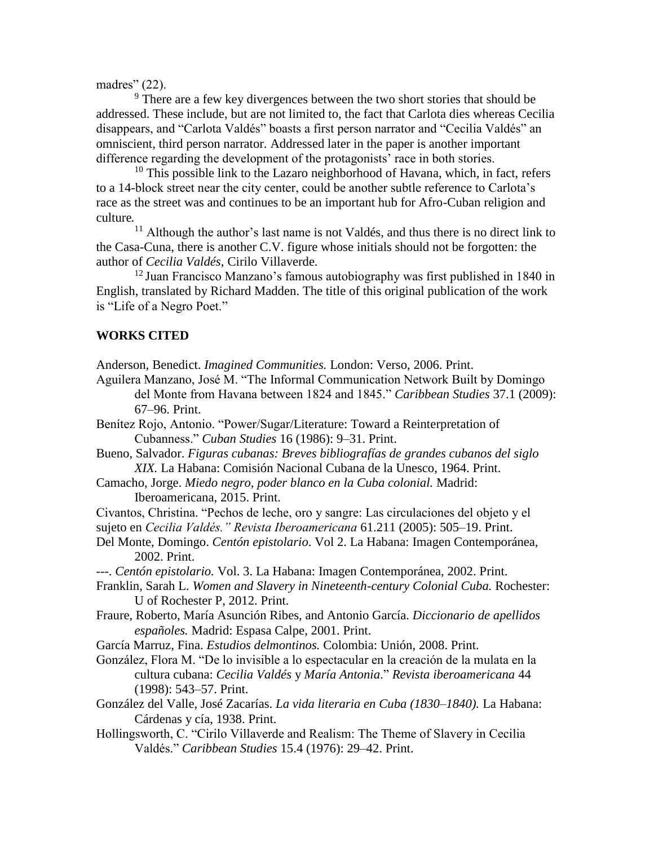madres" (22).

<sup>9</sup> There are a few key divergences between the two short stories that should be addressed. These include, but are not limited to, the fact that Carlota dies whereas Cecilia disappears, and "Carlota Valdés" boasts a first person narrator and "Cecilia Valdés" an omniscient, third person narrator. Addressed later in the paper is another important difference regarding the development of the protagonists' race in both stories.

 $10$  This possible link to the Lazaro neighborhood of Havana, which, in fact, refers to a 14-block street near the city center, could be another subtle reference to Carlota's race as the street was and continues to be an important hub for Afro-Cuban religion and culture.

<sup>11</sup> Although the author's last name is not Valdés, and thus there is no direct link to the Casa-Cuna, there is another C.V. figure whose initials should not be forgotten: the author of *Cecilia Valdés,* Cirilo Villaverde.

 $12$  Juan Francisco Manzano's famous autobiography was first published in 1840 in English, translated by Richard Madden. The title of this original publication of the work is "Life of a Negro Poet."

# **WORKS CITED**

Anderson, Benedict. *Imagined Communities.* London: Verso, 2006. Print.

- Aguilera Manzano, José M. "The Informal Communication Network Built by Domingo del Monte from Havana between 1824 and 1845." *Caribbean Studies* 37.1 (2009): 67–96. Print.
- Benítez Rojo, Antonio. "Power/Sugar/Literature: Toward a Reinterpretation of Cubanness." *Cuban Studies* 16 (1986): 9–31. Print.
- Bueno, Salvador. *Figuras cubanas: Breves bibliografías de grandes cubanos del siglo XIX.* La Habana: Comisión Nacional Cubana de la Unesco, 1964. Print.
- Camacho, Jorge. *Miedo negro, poder blanco en la Cuba colonial.* Madrid: Iberoamericana, 2015. Print.
- Civantos, Christina. "Pechos de leche, oro y sangre: Las circulaciones del objeto y el sujeto en *Cecilia Valdés." Revista Iberoamericana* 61.211 (2005): 505–19. Print.
- Del Monte, Domingo. *Centón epistolario*. Vol 2. La Habana: Imagen Contemporánea, 2002. Print.
- ---. *Centón epistolario.* Vol. 3. La Habana: Imagen Contemporánea, 2002. Print.
- Franklin, Sarah L. *Women and Slavery in Nineteenth-century Colonial Cuba. Rochester:* U of Rochester P, 2012. Print.
- Fraure, Roberto, María Asunción Ribes, and Antonio García. *Diccionario de apellidos españoles.* Madrid: Espasa Calpe, 2001. Print.

García Marruz, Fina. *Estudios delmontinos.* Colombia: Unión, 2008. Print.

González, Flora M. "De lo invisible a lo espectacular en la creación de la mulata en la cultura cubana: *Cecilia Valdés* y *María Antonia*." *Revista iberoamericana* 44 (1998): 543–57. Print.

- González del Valle, José Zacarías. *La vida literaria en Cuba (1830–1840).* La Habana: Cárdenas y cía, 1938. Print.
- Hollingsworth, C. "Cirilo Villaverde and Realism: The Theme of Slavery in Cecilia Valdés." *Caribbean Studies* 15.4 (1976): 29–42. Print.